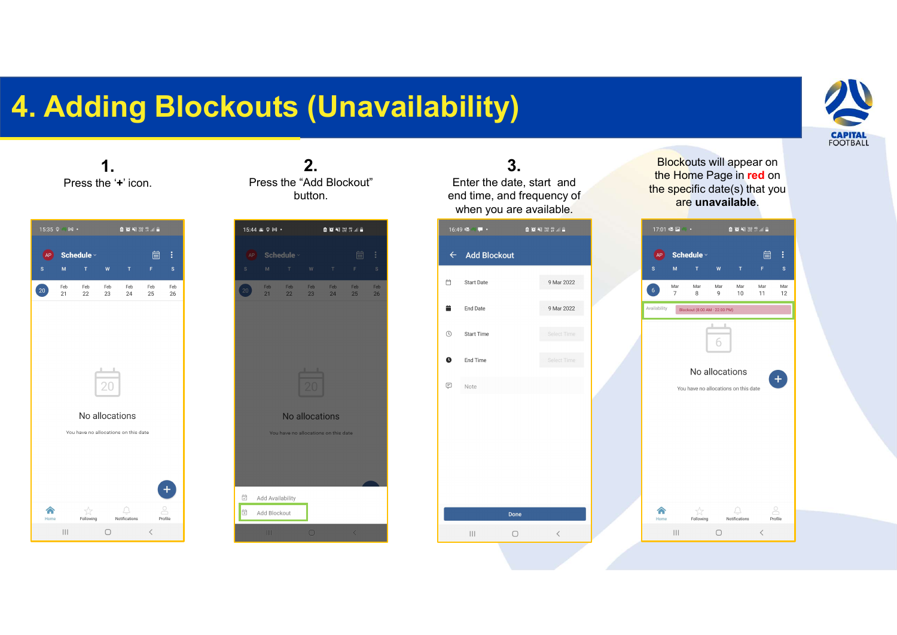## 4. Adding Blockouts (Unavailability)



1. Press the '+' icon.

| 15:35 9 M · |           |                                                        |            | 图 10 NH 29 19 III |           |                          |  |  |  |  |
|-------------|-----------|--------------------------------------------------------|------------|-------------------|-----------|--------------------------|--|--|--|--|
| AP<br>s     | M         | Schedule $\vee$<br>T.                                  | W          | T.                | 崗<br>F    | $\vdots$<br>$\mathbf{s}$ |  |  |  |  |
| $20\degree$ | Feb<br>21 | Feb<br>22                                              | Feb<br>23  | Feb<br>24         | Feb<br>25 | Feb<br>26                |  |  |  |  |
|             |           | No allocations<br>You have no allocations on this date |            |                   |           |                          |  |  |  |  |
| m<br>Home   |           | Following                                              |            | Notifications     |           | Profile                  |  |  |  |  |
|             |           |                                                        | $\bigcirc$ |                   | $\langle$ |                          |  |  |  |  |

2. Press the "Add Blockout" button.



3. Enter the date, start and end time, and frequency of when you are available.



**CAPITAL<br>Blockouts will appear on<br>the Home Page in red on<br>e specific date(s) that you<br>are unavailable.** the Home Page in red on the specific date(s) that you are unavailable.

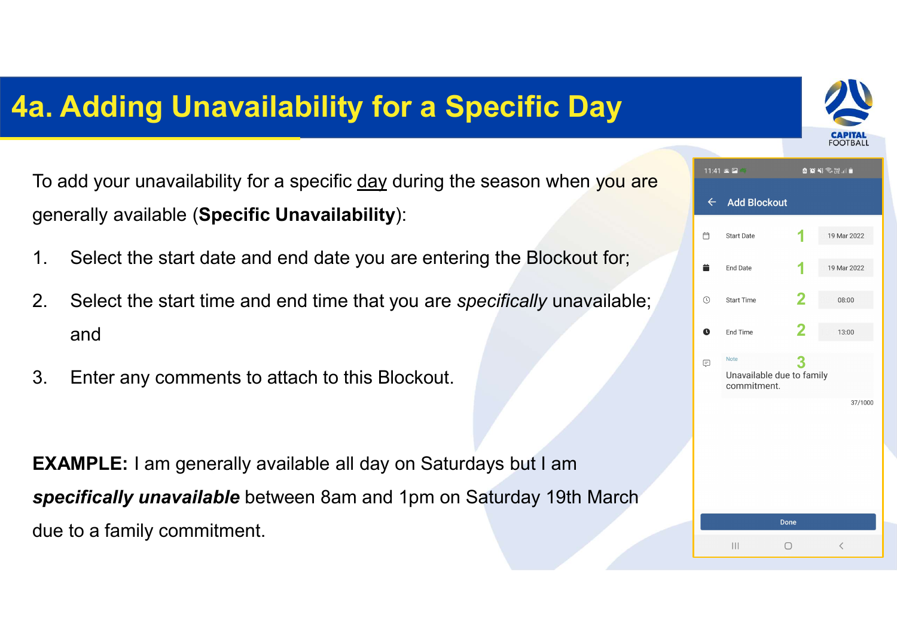## 4a. Adding Unavailability for a Specific Day



**a. Adding Unavailability for a Specific Day**<br>To add your unavailability for a specific <u>day</u> during the season when you are generally available (Specific Unavailability): generally available (Specific Unavailability): **2. Adding Unavailability for a Specific Day**<br>
To add your unavailability for a specific <u>day</u> during the season when you are specifically unavailable;<br>
2. Select the start time and end time that you are specifically unav **EXECUTE:**<br>To add your unavailability for a specific <u>day</u> during the season<br>generally available (Specific Unavailability):<br>1. Select the start date and end date you are entering the Blockout.<br>2. Select the start time and

- 
- and
- 

| a. Adding Unavailability for a Specific Day |                                                                                                                                |  |   |                                          |         | <b>CAPITAL</b><br>FOOTBALL |  |
|---------------------------------------------|--------------------------------------------------------------------------------------------------------------------------------|--|---|------------------------------------------|---------|----------------------------|--|
|                                             | To add your unavailability for a specific day during the season when you are<br>generally available (Specific Unavailability): |  |   | 11:41 & 国<br>$\leftarrow$ Add Blockout   |         |                            |  |
| 1.                                          | Select the start date and end date you are entering the Blockout for;                                                          |  |   | <b>Start Date</b><br><b>End Date</b>     |         | 19 Mar 2022                |  |
| 2.                                          | Select the start time and end time that you are specifically unavailable;                                                      |  | œ | <b>Start Time</b>                        |         | 08:00                      |  |
|                                             | and                                                                                                                            |  | Q | End Time                                 |         | 13:00                      |  |
| 3.                                          | Enter any comments to attach to this Blockout.                                                                                 |  | ⊟ | Unavailable due to family<br>commitment. |         |                            |  |
|                                             |                                                                                                                                |  |   |                                          |         | 37/1000                    |  |
|                                             | <b>EXAMPLE:</b> I am generally available all day on Saturdays but I am                                                         |  |   |                                          |         |                            |  |
|                                             | specifically unavailable between 8am and 1pm on Saturday 19th March                                                            |  |   |                                          |         |                            |  |
|                                             | due to a family commitment.                                                                                                    |  |   |                                          | Done    |                            |  |
|                                             |                                                                                                                                |  |   | $\vert\vert\vert$                        | $\circ$ |                            |  |